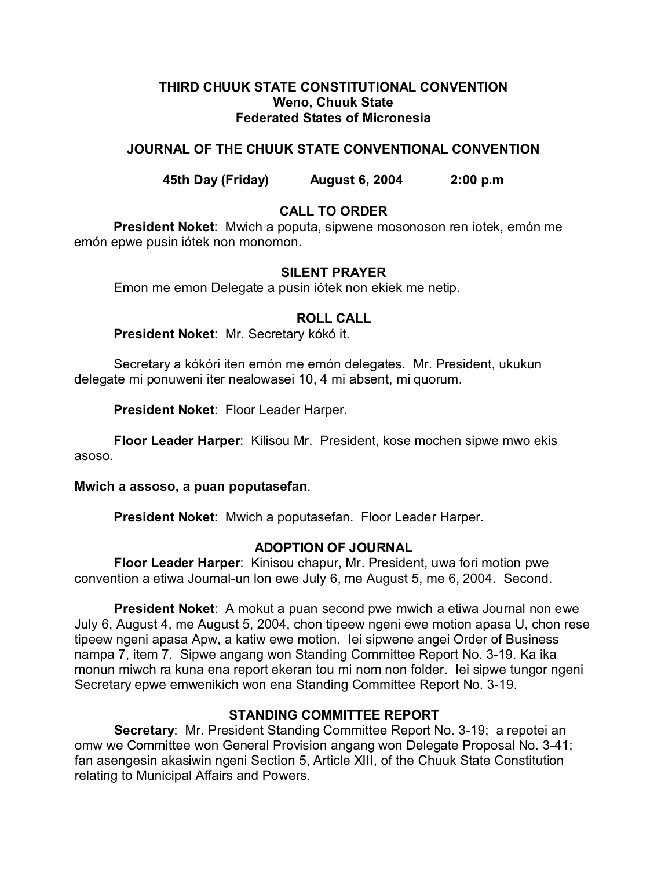## **THIRD CHUUK STATE CONSTITUTIONAL CONVENTION Weno, Chuuk State Federated States of Micronesia**

# **JOURNAL OF THE CHUUK STATE CONVENTIONAL CONVENTION**

**45th Day (Friday) August 6, 2004 2:00 p.m**

# **CALL TO ORDER**

**President Noket**: Mwich a poputa, sipwene mosonoson ren iotek, emón me emón epwe pusin iótek non monomon.

# **SILENT PRAYER**

Emon me emon Delegate a pusin iótek non ekiek me netip.

# **ROLL CALL**

**President Noket**: Mr. Secretary kókó it.

Secretary a kókóri iten emón me emón delegates. Mr. President, ukukun delegate mi ponuweni iter nealowasei 10, 4 mi absent, mi quorum.

**President Noket**: Floor Leader Harper.

**Floor Leader Harper**: Kilisou Mr. President, kose mochen sipwe mwo ekis asoso.

### **Mwich a assoso, a puan poputasefan**.

**President Noket**: Mwich a poputasefan. Floor Leader Harper.

# **ADOPTION OF JOURNAL**

**Floor Leader Harper**: Kinisou chapur, Mr. President, uwa fori motion pwe convention a etiwa Journal-un lon ewe July 6, me August 5, me 6, 2004. Second.

**President Noket**: A mokut a puan second pwe mwich a etiwa Journal non ewe July 6, August 4, me August 5, 2004, chon tipeew ngeni ewe motion apasa U, chon rese tipeew ngeni apasa Apw, a katiw ewe motion. Iei sipwene angei Order of Business nampa 7, item 7. Sipwe angang won Standing Committee Report No. 3-19. Ka ika monun miwch ra kuna ena report ekeran tou mi nom non folder. Iei sipwe tungor ngeni Secretary epwe emwenikich won ena Standing Committee Report No. 3-19.

# **STANDING COMMITTEE REPORT**

**Secretary**: Mr. President Standing Committee Report No. 3-19; a repotei an omw we Committee won General Provision angang won Delegate Proposal No. 3-41; fan asengesin akasiwin ngeni Section 5, Article XIII, of the Chuuk State Constitution relating to Municipal Affairs and Powers.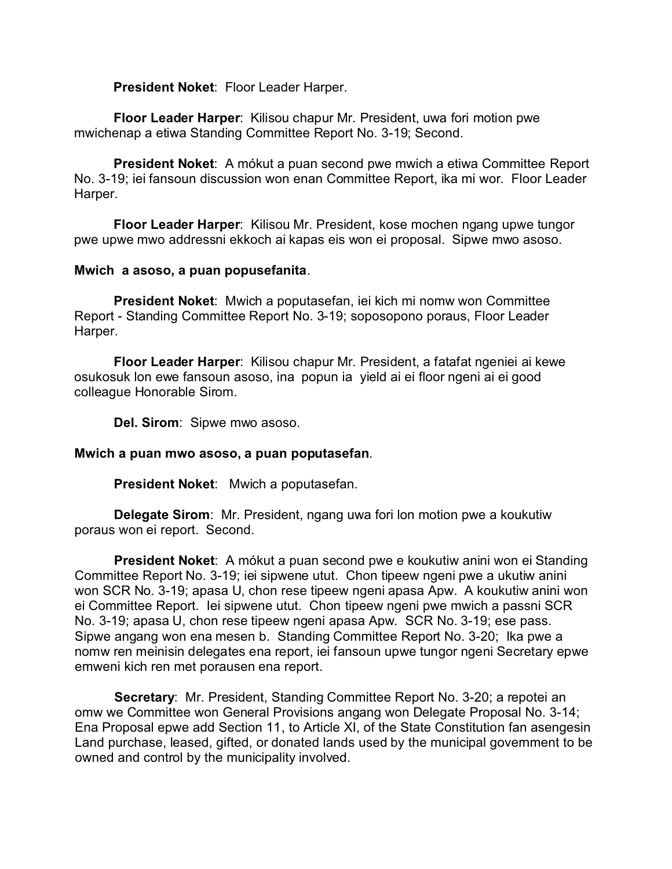**President Noket**: Floor Leader Harper.

**Floor Leader Harper**: Kilisou chapur Mr. President, uwa fori motion pwe mwichenap a etiwa Standing Committee Report No. 3-19; Second.

**President Noket**: A mókut a puan second pwe mwich a etiwa Committee Report No. 3-19; iei fansoun discussion won enan Committee Report, ika mi wor. Floor Leader Harper.

**Floor Leader Harper**: Kilisou Mr. President, kose mochen ngang upwe tungor pwe upwe mwo addressni ekkoch ai kapas eis won ei proposal. Sipwe mwo asoso.

## **Mwich a asoso, a puan popusefanita**.

**President Noket**: Mwich a poputasefan, iei kich mi nomw won Committee Report - Standing Committee Report No. 3-19; soposopono poraus, Floor Leader Harper.

**Floor Leader Harper**: Kilisou chapur Mr. President, a fatafat ngeniei ai kewe osukosuk lon ewe fansoun asoso, ina popun ia yield ai ei floor ngeni ai ei good colleague Honorable Sirom.

**Del. Sirom**: Sipwe mwo asoso.

### **Mwich a puan mwo asoso, a puan poputasefan**.

**President Noket**: Mwich a poputasefan.

**Delegate Sirom**: Mr. President, ngang uwa fori lon motion pwe a koukutiw poraus won ei report. Second.

**President Noket**: A mókut a puan second pwe e koukutiw anini won ei Standing Committee Report No. 3-19; iei sipwene utut. Chon tipeew ngeni pwe a ukutiw anini won SCR No. 3-19; apasa U, chon rese tipeew ngeni apasa Apw. A koukutiw anini won ei Committee Report. Iei sipwene utut. Chon tipeew ngeni pwe mwich a passni SCR No. 3-19; apasa U, chon rese tipeew ngeni apasa Apw. SCR No. 3-19; ese pass. Sipwe angang won ena mesen b. Standing Committee Report No. 3-20; Ika pwe a nomw ren meinisin delegates ena report, iei fansoun upwe tungor ngeni Secretary epwe emweni kich ren met porausen ena report.

**Secretary**: Mr. President, Standing Committee Report No. 3-20; a repotei an omw we Committee won General Provisions angang won Delegate Proposal No. 3-14; Ena Proposal epwe add Section 11, to Article XI, of the State Constitution fan asengesin Land purchase, leased, gifted, or donated lands used by the municipal government to be owned and control by the municipality involved.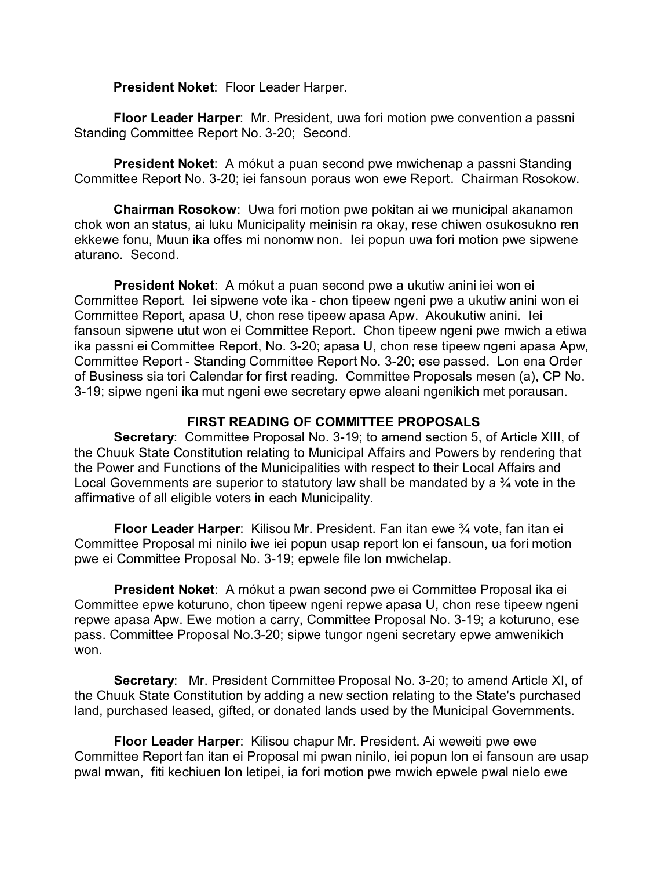**President Noket**: Floor Leader Harper.

**Floor Leader Harper**: Mr. President, uwa fori motion pwe convention a passni Standing Committee Report No. 3-20; Second.

**President Noket**: A mókut a puan second pwe mwichenap a passni Standing Committee Report No. 3-20; iei fansoun poraus won ewe Report. Chairman Rosokow.

**Chairman Rosokow**: Uwa fori motion pwe pokitan ai we municipal akanamon chok won an status, ai luku Municipality meinisin ra okay, rese chiwen osukosukno ren ekkewe fonu, Muun ika offes mi nonomw non. Iei popun uwa fori motion pwe sipwene aturano. Second.

**President Noket**: A mókut a puan second pwe a ukutiw anini iei won ei Committee Report. Iei sipwene vote ika - chon tipeew ngeni pwe a ukutiw anini won ei Committee Report, apasa U, chon rese tipeew apasa Apw. Akoukutiw anini. Iei fansoun sipwene utut won ei Committee Report. Chon tipeew ngeni pwe mwich a etiwa ika passni ei Committee Report, No. 3-20; apasa U, chon rese tipeew ngeni apasa Apw, Committee Report - Standing Committee Report No. 3-20; ese passed. Lon ena Order of Business sia tori Calendar for first reading. Committee Proposals mesen (a), CP No. 3-19; sipwe ngeni ika mut ngeni ewe secretary epwe aleani ngenikich met porausan.

# **FIRST READING OF COMMITTEE PROPOSALS**

**Secretary**: Committee Proposal No. 3-19; to amend section 5, of Article XIII, of the Chuuk State Constitution relating to Municipal Affairs and Powers by rendering that the Power and Functions of the Municipalities with respect to their Local Affairs and Local Governments are superior to statutory law shall be mandated by a 34 vote in the affirmative of all eligible voters in each Municipality.

**Floor Leader Harper**: Kilisou Mr. President. Fan itan ewe ¾ vote, fan itan ei Committee Proposal mi ninilo iwe iei popun usap report lon ei fansoun, ua fori motion pwe ei Committee Proposal No. 3-19; epwele file lon mwichelap.

**President Noket**: A mókut a pwan second pwe ei Committee Proposal ika ei Committee epwe koturuno, chon tipeew ngeni repwe apasa U, chon rese tipeew ngeni repwe apasa Apw. Ewe motion a carry, Committee Proposal No. 3-19; a koturuno, ese pass. Committee Proposal No.3-20; sipwe tungor ngeni secretary epwe amwenikich won.

**Secretary**: Mr. President Committee Proposal No. 3-20; to amend Article XI, of the Chuuk State Constitution by adding a new section relating to the State's purchased land, purchased leased, gifted, or donated lands used by the Municipal Governments.

**Floor Leader Harper**: Kilisou chapur Mr. President. Ai weweiti pwe ewe Committee Report fan itan ei Proposal mi pwan ninilo, iei popun lon ei fansoun are usap pwal mwan, fiti kechiuen lon letipei, ia fori motion pwe mwich epwele pwal nielo ewe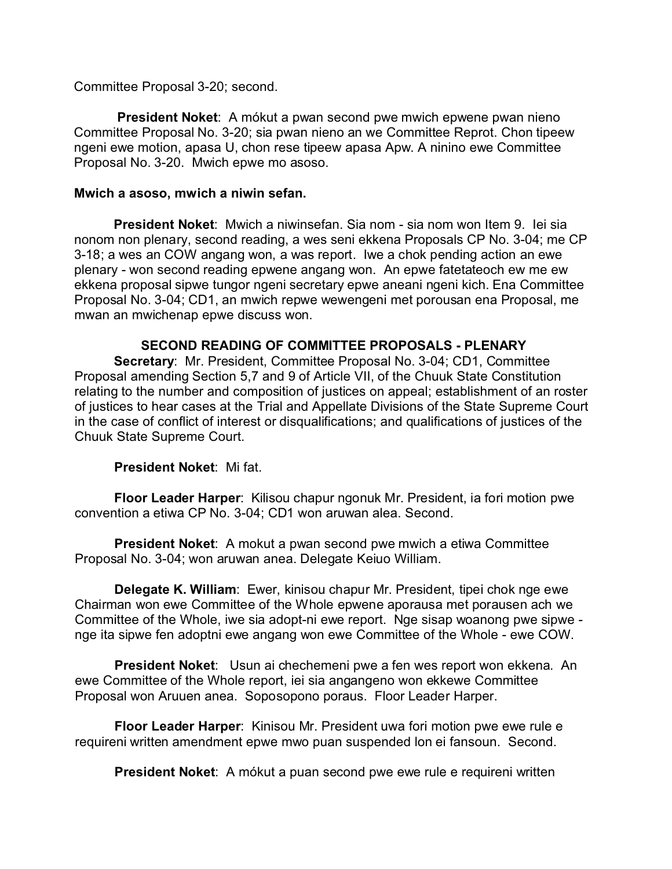Committee Proposal 3-20; second.

 **President Noket**: A mókut a pwan second pwe mwich epwene pwan nieno Committee Proposal No. 3-20; sia pwan nieno an we Committee Reprot. Chon tipeew ngeni ewe motion, apasa U, chon rese tipeew apasa Apw. A ninino ewe Committee Proposal No. 3-20. Mwich epwe mo asoso.

## **Mwich a asoso, mwich a niwin sefan.**

**President Noket**: Mwich a niwinsefan. Sia nom - sia nom won Item 9. Iei sia nonom non plenary, second reading, a wes seni ekkena Proposals CP No. 3-04; me CP 3-18; a wes an COW angang won, a was report. Iwe a chok pending action an ewe plenary - won second reading epwene angang won. An epwe fatetateoch ew me ew ekkena proposal sipwe tungor ngeni secretary epwe aneani ngeni kich. Ena Committee Proposal No. 3-04; CD1, an mwich repwe wewengeni met porousan ena Proposal, me mwan an mwichenap epwe discuss won.

## **SECOND READING OF COMMITTEE PROPOSALS - PLENARY**

**Secretary**: Mr. President, Committee Proposal No. 3-04; CD1, Committee Proposal amending Section 5,7 and 9 of Article VII, of the Chuuk State Constitution relating to the number and composition of justices on appeal; establishment of an roster of justices to hear cases at the Trial and Appellate Divisions of the State Supreme Court in the case of conflict of interest or disqualifications; and qualifications of justices of the Chuuk State Supreme Court.

# **President Noket**: Mi fat.

**Floor Leader Harper**: Kilisou chapur ngonuk Mr. President, ia fori motion pwe convention a etiwa CP No. 3-04; CD1 won aruwan alea. Second.

**President Noket**: A mokut a pwan second pwe mwich a etiwa Committee Proposal No. 3-04; won aruwan anea. Delegate Keiuo William.

**Delegate K. William**: Ewer, kinisou chapur Mr. President, tipei chok nge ewe Chairman won ewe Committee of the Whole epwene aporausa met porausen ach we Committee of the Whole, iwe sia adopt-ni ewe report. Nge sisap woanong pwe sipwe nge ita sipwe fen adoptni ewe angang won ewe Committee of the Whole - ewe COW.

**President Noket**: Usun ai chechemeni pwe a fen wes report won ekkena. An ewe Committee of the Whole report, iei sia angangeno won ekkewe Committee Proposal won Aruuen anea. Soposopono poraus. Floor Leader Harper.

**Floor Leader Harper**: Kinisou Mr. President uwa fori motion pwe ewe rule e requireni written amendment epwe mwo puan suspended lon ei fansoun. Second.

**President Noket**: A mókut a puan second pwe ewe rule e requireni written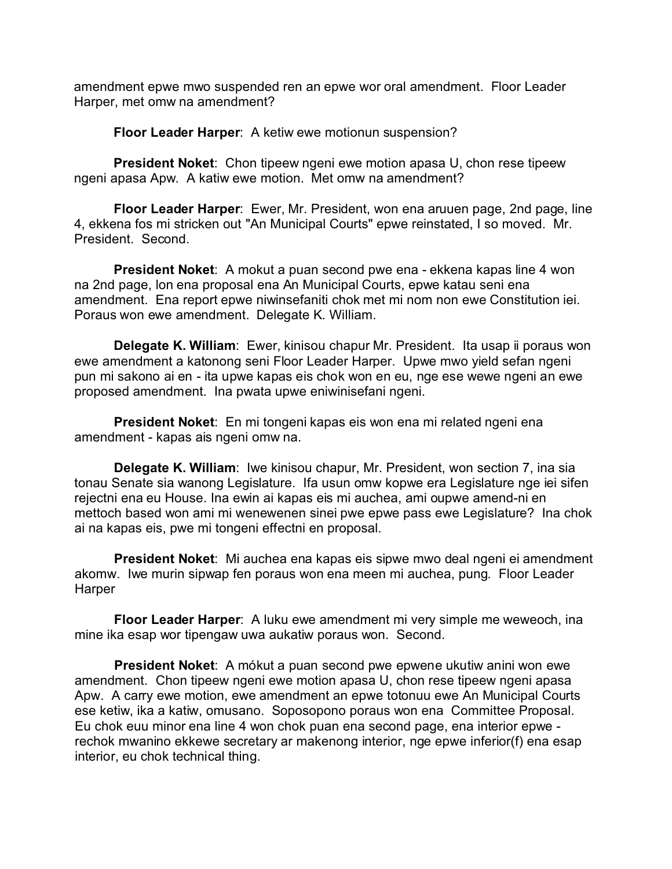amendment epwe mwo suspended ren an epwe wor oral amendment. Floor Leader Harper, met omw na amendment?

**Floor Leader Harper**: A ketiw ewe motionun suspension?

**President Noket**: Chon tipeew ngeni ewe motion apasa U, chon rese tipeew ngeni apasa Apw. A katiw ewe motion. Met omw na amendment?

**Floor Leader Harper**: Ewer, Mr. President, won ena aruuen page, 2nd page, line 4, ekkena fos mi stricken out "An Municipal Courts" epwe reinstated, I so moved. Mr. President. Second.

**President Noket**: A mokut a puan second pwe ena - ekkena kapas line 4 won na 2nd page, lon ena proposal ena An Municipal Courts, epwe katau seni ena amendment. Ena report epwe niwinsefaniti chok met mi nom non ewe Constitution iei. Poraus won ewe amendment. Delegate K. William.

**Delegate K. William**: Ewer, kinisou chapur Mr. President. Ita usap ii poraus won ewe amendment a katonong seni Floor Leader Harper. Upwe mwo yield sefan ngeni pun mi sakono ai en - ita upwe kapas eis chok won en eu, nge ese wewe ngeni an ewe proposed amendment. Ina pwata upwe eniwinisefani ngeni.

**President Noket**: En mi tongeni kapas eis won ena mi related ngeni ena amendment - kapas ais ngeni omw na.

**Delegate K. William**: Iwe kinisou chapur, Mr. President, won section 7, ina sia tonau Senate sia wanong Legislature. Ifa usun omw kopwe era Legislature nge iei sifen rejectni ena eu House. Ina ewin ai kapas eis mi auchea, ami oupwe amend-ni en mettoch based won ami mi wenewenen sinei pwe epwe pass ewe Legislature? Ina chok ai na kapas eis, pwe mi tongeni effectni en proposal.

**President Noket**: Mi auchea ena kapas eis sipwe mwo deal ngeni ei amendment akomw. Iwe murin sipwap fen poraus won ena meen mi auchea, pung. Floor Leader **Harper** 

**Floor Leader Harper**: A luku ewe amendment mi very simple me weweoch, ina mine ika esap wor tipengaw uwa aukatiw poraus won. Second.

**President Noket**: A mókut a puan second pwe epwene ukutiw anini won ewe amendment. Chon tipeew ngeni ewe motion apasa U, chon rese tipeew ngeni apasa Apw. A carry ewe motion, ewe amendment an epwe totonuu ewe An Municipal Courts ese ketiw, ika a katiw, omusano. Soposopono poraus won ena Committee Proposal. Eu chok euu minor ena line 4 won chok puan ena second page, ena interior epwe rechok mwanino ekkewe secretary ar makenong interior, nge epwe inferior(f) ena esap interior, eu chok technical thing.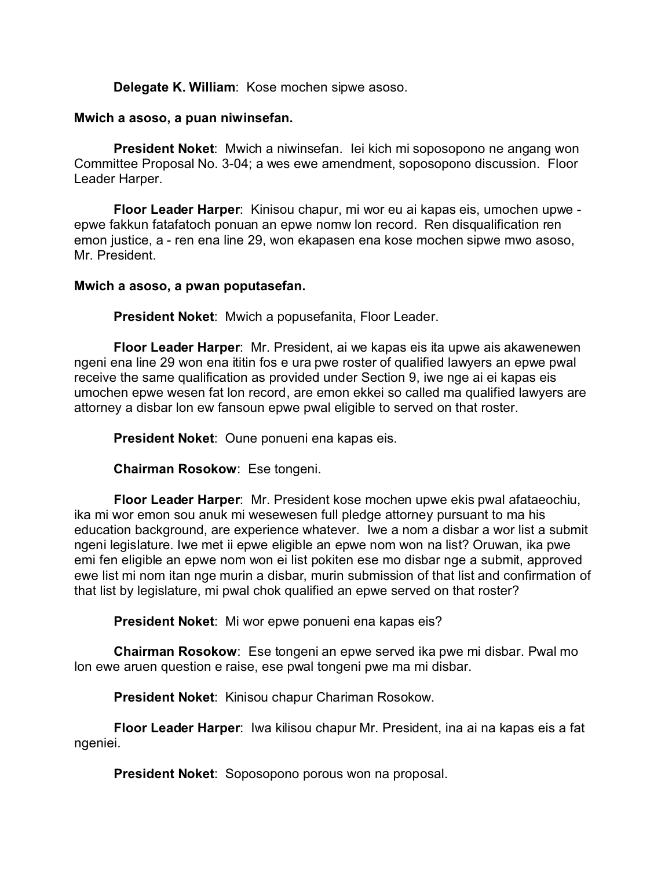### **Delegate K. William**: Kose mochen sipwe asoso.

#### **Mwich a asoso, a puan niwinsefan.**

**President Noket**: Mwich a niwinsefan. Iei kich mi soposopono ne angang won Committee Proposal No. 3-04; a wes ewe amendment, soposopono discussion. Floor Leader Harper.

**Floor Leader Harper**: Kinisou chapur, mi wor eu ai kapas eis, umochen upwe epwe fakkun fatafatoch ponuan an epwe nomw lon record. Ren disqualification ren emon justice, a - ren ena line 29, won ekapasen ena kose mochen sipwe mwo asoso, Mr. President.

#### **Mwich a asoso, a pwan poputasefan.**

**President Noket**: Mwich a popusefanita, Floor Leader.

**Floor Leader Harper**: Mr. President, ai we kapas eis ita upwe ais akawenewen ngeni ena line 29 won ena ititin fos e ura pwe roster of qualified lawyers an epwe pwal receive the same qualification as provided under Section 9, iwe nge ai ei kapas eis umochen epwe wesen fat lon record, are emon ekkei so called ma qualified lawyers are attorney a disbar lon ew fansoun epwe pwal eligible to served on that roster.

**President Noket**: Oune ponueni ena kapas eis.

**Chairman Rosokow**: Ese tongeni.

**Floor Leader Harper**: Mr. President kose mochen upwe ekis pwal afataeochiu, ika mi wor emon sou anuk mi wesewesen full pledge attorney pursuant to ma his education background, are experience whatever. Iwe a nom a disbar a wor list a submit ngeni legislature. Iwe met ii epwe eligible an epwe nom won na list? Oruwan, ika pwe emi fen eligible an epwe nom won ei list pokiten ese mo disbar nge a submit, approved ewe list mi nom itan nge murin a disbar, murin submission of that list and confirmation of that list by legislature, mi pwal chok qualified an epwe served on that roster?

**President Noket**: Mi wor epwe ponueni ena kapas eis?

**Chairman Rosokow**: Ese tongeni an epwe served ika pwe mi disbar. Pwal mo lon ewe aruen question e raise, ese pwal tongeni pwe ma mi disbar.

**President Noket**: Kinisou chapur Chariman Rosokow.

**Floor Leader Harper**: Iwa kilisou chapur Mr. President, ina ai na kapas eis a fat ngeniei.

**President Noket**: Soposopono porous won na proposal.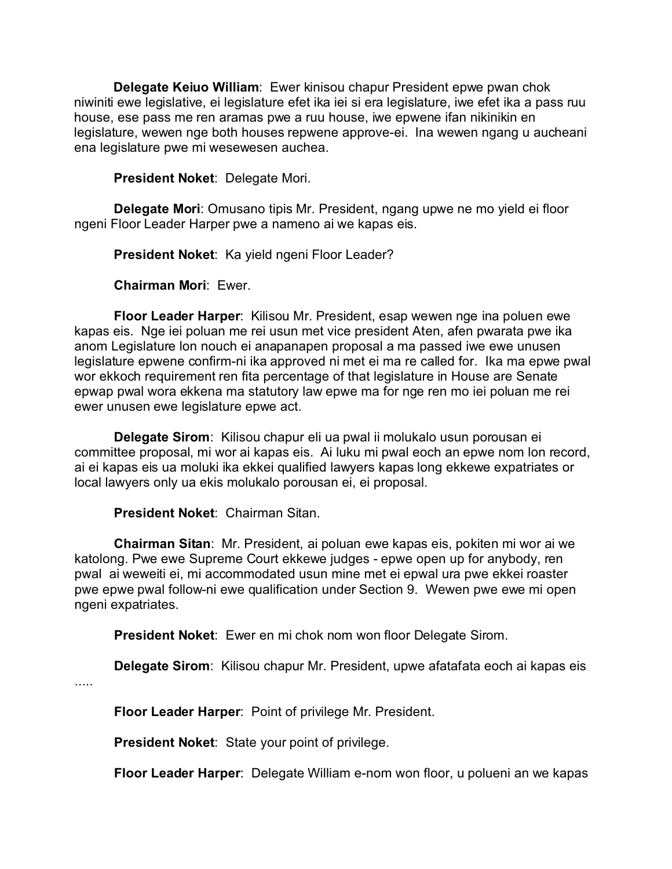**Delegate Keiuo William**: Ewer kinisou chapur President epwe pwan chok niwiniti ewe legislative, ei legislature efet ika iei si era legislature, iwe efet ika a pass ruu house, ese pass me ren aramas pwe a ruu house, iwe epwene ifan nikinikin en legislature, wewen nge both houses repwene approve-ei. Ina wewen ngang u aucheani ena legislature pwe mi wesewesen auchea.

**President Noket**: Delegate Mori.

**Delegate Mori**: Omusano tipis Mr. President, ngang upwe ne mo yield ei floor ngeni Floor Leader Harper pwe a nameno ai we kapas eis.

**President Noket**: Ka yield ngeni Floor Leader?

**Chairman Mori**: Ewer.

**Floor Leader Harper**: Kilisou Mr. President, esap wewen nge ina poluen ewe kapas eis. Nge iei poluan me rei usun met vice president Aten, afen pwarata pwe ika anom Legislature lon nouch ei anapanapen proposal a ma passed iwe ewe unusen legislature epwene confirm-ni ika approved ni met ei ma re called for. Ika ma epwe pwal wor ekkoch requirement ren fita percentage of that legislature in House are Senate epwap pwal wora ekkena ma statutory law epwe ma for nge ren mo iei poluan me rei ewer unusen ewe legislature epwe act.

**Delegate Sirom**: Kilisou chapur eli ua pwal ii molukalo usun porousan ei committee proposal, mi wor ai kapas eis. Ai luku mi pwal eoch an epwe nom lon record, ai ei kapas eis ua moluki ika ekkei qualified lawyers kapas long ekkewe expatriates or local lawyers only ua ekis molukalo porousan ei, ei proposal.

# **President Noket**: Chairman Sitan.

.....

**Chairman Sitan**: Mr. President, ai poluan ewe kapas eis, pokiten mi wor ai we katolong. Pwe ewe Supreme Court ekkewe judges - epwe open up for anybody, ren pwal ai weweiti ei, mi accommodated usun mine met ei epwal ura pwe ekkei roaster pwe epwe pwal follow-ni ewe qualification under Section 9. Wewen pwe ewe mi open ngeni expatriates.

**President Noket**: Ewer en mi chok nom won floor Delegate Sirom.

**Delegate Sirom**: Kilisou chapur Mr. President, upwe afatafata eoch ai kapas eis

**Floor Leader Harper**: Point of privilege Mr. President.

**President Noket**: State your point of privilege.

**Floor Leader Harper**: Delegate William e-nom won floor, u polueni an we kapas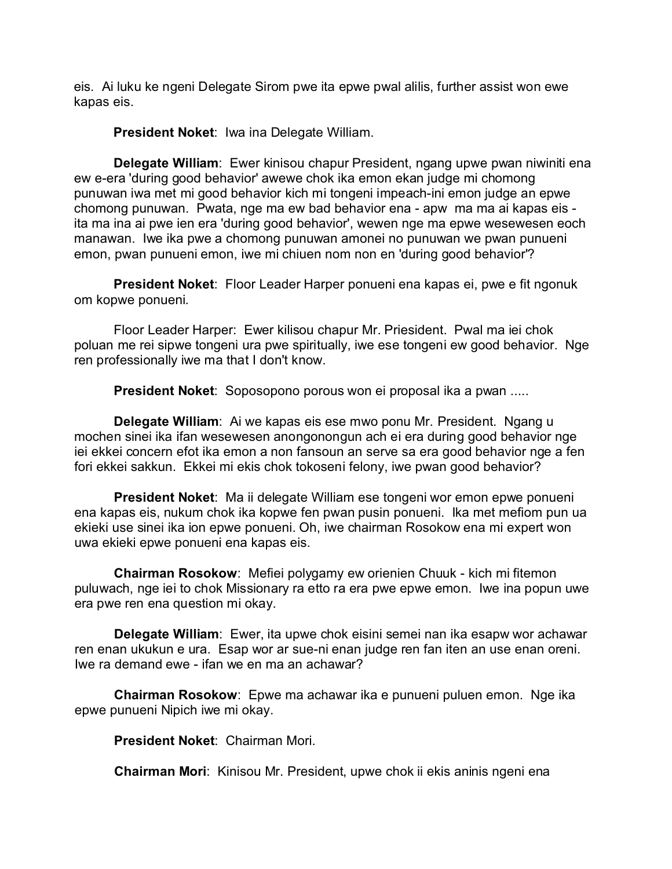eis. Ai luku ke ngeni Delegate Sirom pwe ita epwe pwal alilis, further assist won ewe kapas eis.

**President Noket**: Iwa ina Delegate William.

**Delegate William**: Ewer kinisou chapur President, ngang upwe pwan niwiniti ena ew e-era 'during good behavior' awewe chok ika emon ekan judge mi chomong punuwan iwa met mi good behavior kich mi tongeni impeach-ini emon judge an epwe chomong punuwan. Pwata, nge ma ew bad behavior ena - apw ma ma ai kapas eis ita ma ina ai pwe ien era 'during good behavior', wewen nge ma epwe wesewesen eoch manawan. Iwe ika pwe a chomong punuwan amonei no punuwan we pwan punueni emon, pwan punueni emon, iwe mi chiuen nom non en 'during good behavior'?

**President Noket**: Floor Leader Harper ponueni ena kapas ei, pwe e fit ngonuk om kopwe ponueni.

Floor Leader Harper: Ewer kilisou chapur Mr. Priesident. Pwal ma iei chok poluan me rei sipwe tongeni ura pwe spiritually, iwe ese tongeni ew good behavior. Nge ren professionally iwe ma that I don't know.

**President Noket**: Soposopono porous won ei proposal ika a pwan .....

**Delegate William**: Ai we kapas eis ese mwo ponu Mr. President. Ngang u mochen sinei ika ifan wesewesen anongonongun ach ei era during good behavior nge iei ekkei concern efot ika emon a non fansoun an serve sa era good behavior nge a fen fori ekkei sakkun. Ekkei mi ekis chok tokoseni felony, iwe pwan good behavior?

**President Noket**: Ma ii delegate William ese tongeni wor emon epwe ponueni ena kapas eis, nukum chok ika kopwe fen pwan pusin ponueni. Ika met mefiom pun ua ekieki use sinei ika ion epwe ponueni. Oh, iwe chairman Rosokow ena mi expert won uwa ekieki epwe ponueni ena kapas eis.

**Chairman Rosokow**: Mefiei polygamy ew orienien Chuuk - kich mi fitemon puluwach, nge iei to chok Missionary ra etto ra era pwe epwe emon. Iwe ina popun uwe era pwe ren ena question mi okay.

**Delegate William**: Ewer, ita upwe chok eisini semei nan ika esapw wor achawar ren enan ukukun e ura. Esap wor ar sue-ni enan judge ren fan iten an use enan oreni. Iwe ra demand ewe - ifan we en ma an achawar?

**Chairman Rosokow**: Epwe ma achawar ika e punueni puluen emon. Nge ika epwe punueni Nipich iwe mi okay.

**President Noket**: Chairman Mori.

**Chairman Mori**: Kinisou Mr. President, upwe chok ii ekis aninis ngeni ena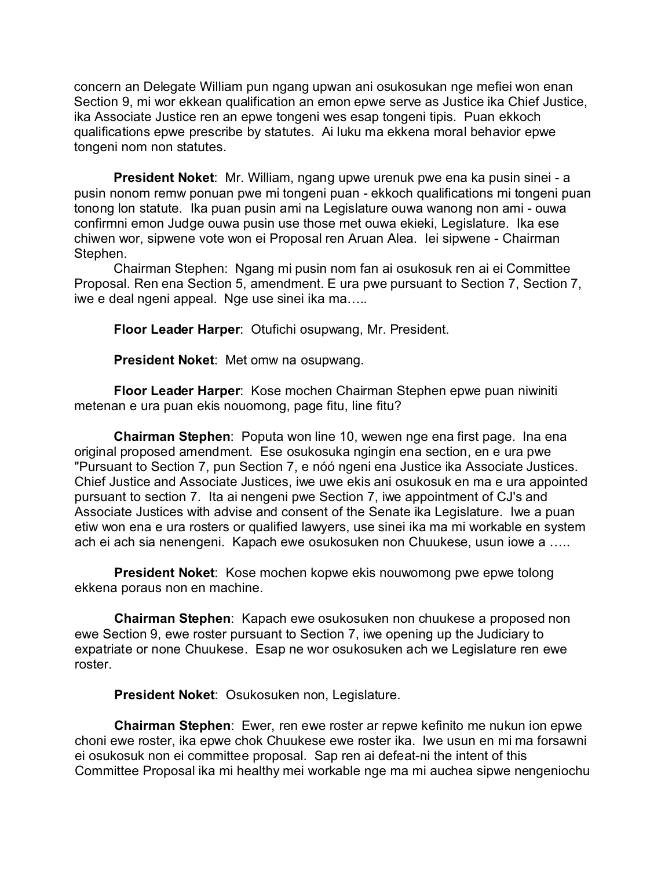concern an Delegate William pun ngang upwan ani osukosukan nge mefiei won enan Section 9, mi wor ekkean qualification an emon epwe serve as Justice ika Chief Justice, ika Associate Justice ren an epwe tongeni wes esap tongeni tipis. Puan ekkoch qualifications epwe prescribe by statutes. Ai luku ma ekkena moral behavior epwe tongeni nom non statutes.

**President Noket**: Mr. William, ngang upwe urenuk pwe ena ka pusin sinei - a pusin nonom remw ponuan pwe mi tongeni puan - ekkoch qualifications mi tongeni puan tonong lon statute. Ika puan pusin ami na Legislature ouwa wanong non ami - ouwa confirmni emon Judge ouwa pusin use those met ouwa ekieki, Legislature. Ika ese chiwen wor, sipwene vote won ei Proposal ren Aruan Alea. Iei sipwene - Chairman Stephen.

Chairman Stephen: Ngang mi pusin nom fan ai osukosuk ren ai ei Committee Proposal. Ren ena Section 5, amendment. E ura pwe pursuant to Section 7, Section 7, iwe e deal ngeni appeal. Nge use sinei ika ma…..

**Floor Leader Harper**: Otufichi osupwang, Mr. President.

**President Noket**: Met omw na osupwang.

**Floor Leader Harper**: Kose mochen Chairman Stephen epwe puan niwiniti metenan e ura puan ekis nouomong, page fitu, line fitu?

**Chairman Stephen**: Poputa won line 10, wewen nge ena first page. Ina ena original proposed amendment. Ese osukosuka ngingin ena section, en e ura pwe "Pursuant to Section 7, pun Section 7, e nóó ngeni ena Justice ika Associate Justices. Chief Justice and Associate Justices, iwe uwe ekis ani osukosuk en ma e ura appointed pursuant to section 7. Ita ai nengeni pwe Section 7, iwe appointment of CJ's and Associate Justices with advise and consent of the Senate ika Legislature. Iwe a puan etiw won ena e ura rosters or qualified lawyers, use sinei ika ma mi workable en system ach ei ach sia nenengeni. Kapach ewe osukosuken non Chuukese, usun iowe a …..

**President Noket**: Kose mochen kopwe ekis nouwomong pwe epwe tolong ekkena poraus non en machine.

**Chairman Stephen**: Kapach ewe osukosuken non chuukese a proposed non ewe Section 9, ewe roster pursuant to Section 7, iwe opening up the Judiciary to expatriate or none Chuukese. Esap ne wor osukosuken ach we Legislature ren ewe roster.

**President Noket**: Osukosuken non, Legislature.

**Chairman Stephen**: Ewer, ren ewe roster ar repwe kefinito me nukun ion epwe choni ewe roster, ika epwe chok Chuukese ewe roster ika. Iwe usun en mi ma forsawni ei osukosuk non ei committee proposal. Sap ren ai defeat-ni the intent of this Committee Proposal ika mi healthy mei workable nge ma mi auchea sipwe nengeniochu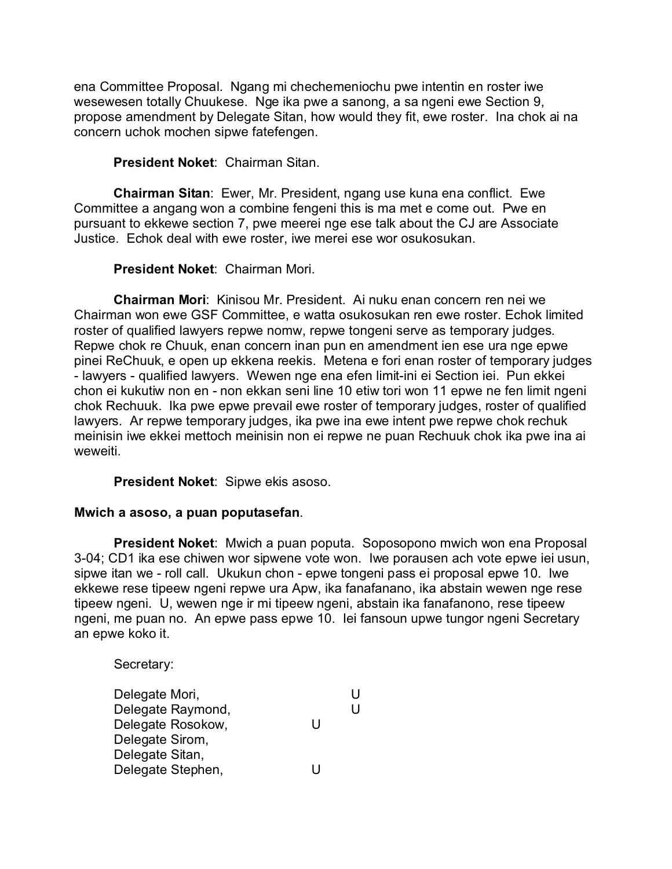ena Committee Proposal. Ngang mi chechemeniochu pwe intentin en roster iwe wesewesen totally Chuukese. Nge ika pwe a sanong, a sa ngeni ewe Section 9, propose amendment by Delegate Sitan, how would they fit, ewe roster. Ina chok ai na concern uchok mochen sipwe fatefengen.

# **President Noket**: Chairman Sitan.

**Chairman Sitan**: Ewer, Mr. President, ngang use kuna ena conflict. Ewe Committee a angang won a combine fengeni this is ma met e come out. Pwe en pursuant to ekkewe section 7, pwe meerei nge ese talk about the CJ are Associate Justice. Echok deal with ewe roster, iwe merei ese wor osukosukan.

# **President Noket**: Chairman Mori.

**Chairman Mori**: Kinisou Mr. President. Ai nuku enan concern ren nei we Chairman won ewe GSF Committee, e watta osukosukan ren ewe roster. Echok limited roster of qualified lawyers repwe nomw, repwe tongeni serve as temporary judges. Repwe chok re Chuuk, enan concern inan pun en amendment ien ese ura nge epwe pinei ReChuuk, e open up ekkena reekis. Metena e fori enan roster of temporary judges - lawyers - qualified lawyers. Wewen nge ena efen limit-ini ei Section iei. Pun ekkei chon ei kukutiw non en - non ekkan seni line 10 etiw tori won 11 epwe ne fen limit ngeni chok Rechuuk. Ika pwe epwe prevail ewe roster of temporary judges, roster of qualified lawyers. Ar repwe temporary judges, ika pwe ina ewe intent pwe repwe chok rechuk meinisin iwe ekkei mettoch meinisin non ei repwe ne puan Rechuuk chok ika pwe ina ai weweiti.

# **President Noket**: Sipwe ekis asoso.

# **Mwich a asoso, a puan poputasefan**.

**President Noket**: Mwich a puan poputa. Soposopono mwich won ena Proposal 3-04; CD1 ika ese chiwen wor sipwene vote won. Iwe porausen ach vote epwe iei usun, sipwe itan we - roll call. Ukukun chon - epwe tongeni pass ei proposal epwe 10. Iwe ekkewe rese tipeew ngeni repwe ura Apw, ika fanafanano, ika abstain wewen nge rese tipeew ngeni. U, wewen nge ir mi tipeew ngeni, abstain ika fanafanono, rese tipeew ngeni, me puan no. An epwe pass epwe 10. Iei fansoun upwe tungor ngeni Secretary an epwe koko it.

Secretary:

| Delegate Mori,    |   | U |
|-------------------|---|---|
| Delegate Raymond, |   | U |
| Delegate Rosokow, | H |   |
| Delegate Sirom,   |   |   |
| Delegate Sitan,   |   |   |
| Delegate Stephen, |   |   |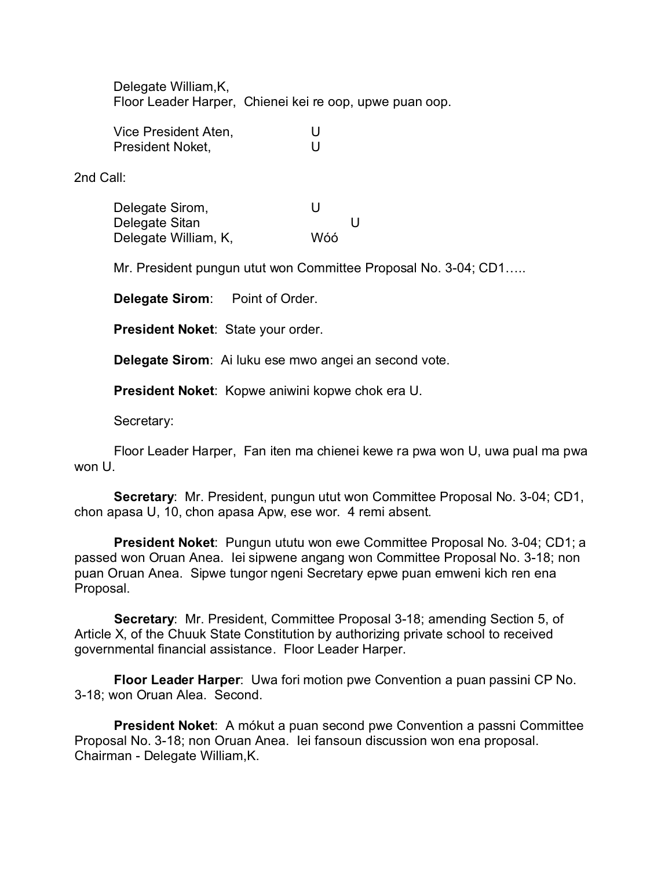Delegate William,K, Floor Leader Harper, Chienei kei re oop, upwe puan oop.

Vice President Aten, U President Noket. **U** 

2nd Call:

Delegate Sirom, North U Delegate Sitan U Delegate William, K, Wóó

Mr. President pungun utut won Committee Proposal No. 3-04; CD1…..

**Delegate Sirom**: Point of Order.

**President Noket**: State your order.

**Delegate Sirom**: Ai luku ese mwo angei an second vote.

**President Noket**: Kopwe aniwini kopwe chok era U.

Secretary:

Floor Leader Harper, Fan iten ma chienei kewe ra pwa won U, uwa pual ma pwa won U.

**Secretary**: Mr. President, pungun utut won Committee Proposal No. 3-04; CD1, chon apasa U, 10, chon apasa Apw, ese wor. 4 remi absent.

**President Noket**: Pungun ututu won ewe Committee Proposal No. 3-04; CD1; a passed won Oruan Anea. Iei sipwene angang won Committee Proposal No. 3-18; non puan Oruan Anea. Sipwe tungor ngeni Secretary epwe puan emweni kich ren ena Proposal.

**Secretary**: Mr. President, Committee Proposal 3-18; amending Section 5, of Article X, of the Chuuk State Constitution by authorizing private school to received governmental financial assistance. Floor Leader Harper.

**Floor Leader Harper**: Uwa fori motion pwe Convention a puan passini CP No. 3-18; won Oruan Alea. Second.

**President Noket**: A mókut a puan second pwe Convention a passni Committee Proposal No. 3-18; non Oruan Anea. Iei fansoun discussion won ena proposal. Chairman - Delegate William,K.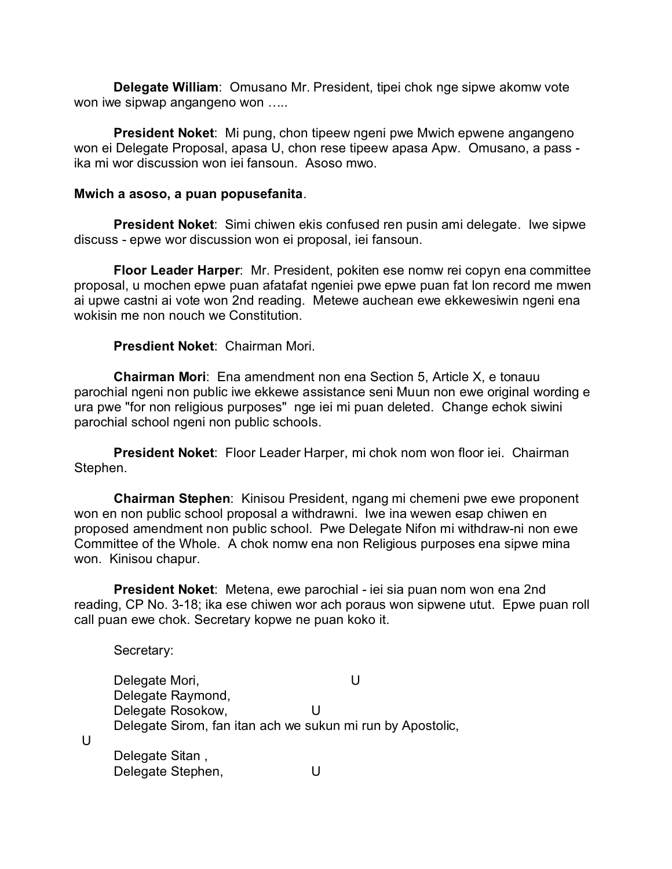**Delegate William**: Omusano Mr. President, tipei chok nge sipwe akomw vote won iwe sipwap angangeno won …..

**President Noket**: Mi pung, chon tipeew ngeni pwe Mwich epwene angangeno won ei Delegate Proposal, apasa U, chon rese tipeew apasa Apw. Omusano, a pass ika mi wor discussion won iei fansoun. Asoso mwo.

## **Mwich a asoso, a puan popusefanita**.

**President Noket**: Simi chiwen ekis confused ren pusin ami delegate. Iwe sipwe discuss - epwe wor discussion won ei proposal, iei fansoun.

**Floor Leader Harper**: Mr. President, pokiten ese nomw rei copyn ena committee proposal, u mochen epwe puan afatafat ngeniei pwe epwe puan fat lon record me mwen ai upwe castni ai vote won 2nd reading. Metewe auchean ewe ekkewesiwin ngeni ena wokisin me non nouch we Constitution.

## **Presdient Noket**: Chairman Mori.

Secretary:

 $\overline{U}$ 

**Chairman Mori**: Ena amendment non ena Section 5, Article X, e tonauu parochial ngeni non public iwe ekkewe assistance seni Muun non ewe original wording e ura pwe "for non religious purposes" nge iei mi puan deleted. Change echok siwini parochial school ngeni non public schools.

**President Noket**: Floor Leader Harper, mi chok nom won floor iei. Chairman Stephen.

**Chairman Stephen**: Kinisou President, ngang mi chemeni pwe ewe proponent won en non public school proposal a withdrawni. Iwe ina wewen esap chiwen en proposed amendment non public school. Pwe Delegate Nifon mi withdraw-ni non ewe Committee of the Whole. A chok nomw ena non Religious purposes ena sipwe mina won. Kinisou chapur.

**President Noket**: Metena, ewe parochial - iei sia puan nom won ena 2nd reading, CP No. 3-18; ika ese chiwen wor ach poraus won sipwene utut. Epwe puan roll call puan ewe chok. Secretary kopwe ne puan koko it.

Delegate Mori, North Wales and U Delegate Raymond, Delegate Rosokow, U Delegate Sirom, fan itan ach we sukun mi run by Apostolic, Delegate Sitan , Delegate Stephen, U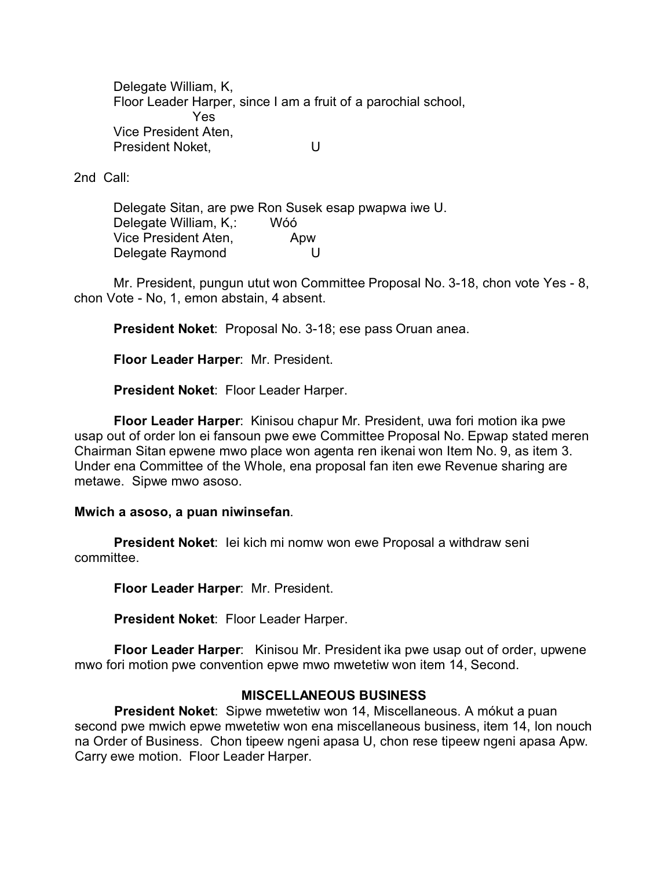Delegate William, K, Floor Leader Harper, since I am a fruit of a parochial school, Yes Vice President Aten, President Noket. U

2nd Call:

Delegate Sitan, are pwe Ron Susek esap pwapwa iwe U. Delegate William, K,: Wóó Vice President Aten, Apw Delegate Raymond U

Mr. President, pungun utut won Committee Proposal No. 3-18, chon vote Yes - 8, chon Vote - No, 1, emon abstain, 4 absent.

**President Noket**: Proposal No. 3-18; ese pass Oruan anea.

**Floor Leader Harper**: Mr. President.

**President Noket**: Floor Leader Harper.

**Floor Leader Harper**: Kinisou chapur Mr. President, uwa fori motion ika pwe usap out of order lon ei fansoun pwe ewe Committee Proposal No. Epwap stated meren Chairman Sitan epwene mwo place won agenta ren ikenai won Item No. 9, as item 3. Under ena Committee of the Whole, ena proposal fan iten ewe Revenue sharing are metawe. Sipwe mwo asoso.

### **Mwich a asoso, a puan niwinsefan**.

**President Noket**: Iei kich mi nomw won ewe Proposal a withdraw seni committee.

**Floor Leader Harper**: Mr. President.

**President Noket**: Floor Leader Harper.

**Floor Leader Harper**: Kinisou Mr. President ika pwe usap out of order, upwene mwo fori motion pwe convention epwe mwo mwetetiw won item 14, Second.

# **MISCELLANEOUS BUSINESS**

**President Noket**: Sipwe mwetetiw won 14, Miscellaneous. A mókut a puan second pwe mwich epwe mwetetiw won ena miscellaneous business, item 14, lon nouch na Order of Business. Chon tipeew ngeni apasa U, chon rese tipeew ngeni apasa Apw. Carry ewe motion. Floor Leader Harper.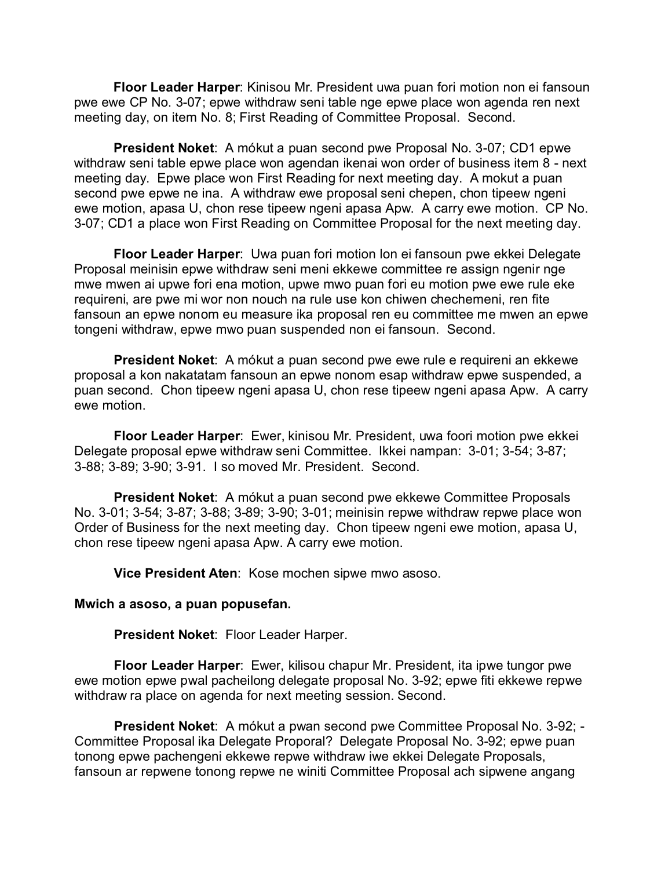**Floor Leader Harper**: Kinisou Mr. President uwa puan fori motion non ei fansoun pwe ewe CP No. 3-07; epwe withdraw seni table nge epwe place won agenda ren next meeting day, on item No. 8; First Reading of Committee Proposal. Second.

**President Noket**: A mókut a puan second pwe Proposal No. 3-07; CD1 epwe withdraw seni table epwe place won agendan ikenai won order of business item 8 - next meeting day. Epwe place won First Reading for next meeting day. A mokut a puan second pwe epwe ne ina. A withdraw ewe proposal seni chepen, chon tipeew ngeni ewe motion, apasa U, chon rese tipeew ngeni apasa Apw. A carry ewe motion. CP No. 3-07; CD1 a place won First Reading on Committee Proposal for the next meeting day.

**Floor Leader Harper**: Uwa puan fori motion lon ei fansoun pwe ekkei Delegate Proposal meinisin epwe withdraw seni meni ekkewe committee re assign ngenir nge mwe mwen ai upwe fori ena motion, upwe mwo puan fori eu motion pwe ewe rule eke requireni, are pwe mi wor non nouch na rule use kon chiwen chechemeni, ren fite fansoun an epwe nonom eu measure ika proposal ren eu committee me mwen an epwe tongeni withdraw, epwe mwo puan suspended non ei fansoun. Second.

**President Noket**: A mókut a puan second pwe ewe rule e requireni an ekkewe proposal a kon nakatatam fansoun an epwe nonom esap withdraw epwe suspended, a puan second. Chon tipeew ngeni apasa U, chon rese tipeew ngeni apasa Apw. A carry ewe motion.

**Floor Leader Harper**: Ewer, kinisou Mr. President, uwa foori motion pwe ekkei Delegate proposal epwe withdraw seni Committee. Ikkei nampan: 3-01; 3-54; 3-87; 3-88; 3-89; 3-90; 3-91. I so moved Mr. President. Second.

**President Noket**: A mókut a puan second pwe ekkewe Committee Proposals No. 3-01; 3-54; 3-87; 3-88; 3-89; 3-90; 3-01; meinisin repwe withdraw repwe place won Order of Business for the next meeting day. Chon tipeew ngeni ewe motion, apasa U, chon rese tipeew ngeni apasa Apw. A carry ewe motion.

**Vice President Aten**: Kose mochen sipwe mwo asoso.

### **Mwich a asoso, a puan popusefan.**

**President Noket**: Floor Leader Harper.

**Floor Leader Harper**: Ewer, kilisou chapur Mr. President, ita ipwe tungor pwe ewe motion epwe pwal pacheilong delegate proposal No. 3-92; epwe fiti ekkewe repwe withdraw ra place on agenda for next meeting session. Second.

**President Noket**: A mókut a pwan second pwe Committee Proposal No. 3-92; - Committee Proposal ika Delegate Proporal? Delegate Proposal No. 3-92; epwe puan tonong epwe pachengeni ekkewe repwe withdraw iwe ekkei Delegate Proposals, fansoun ar repwene tonong repwe ne winiti Committee Proposal ach sipwene angang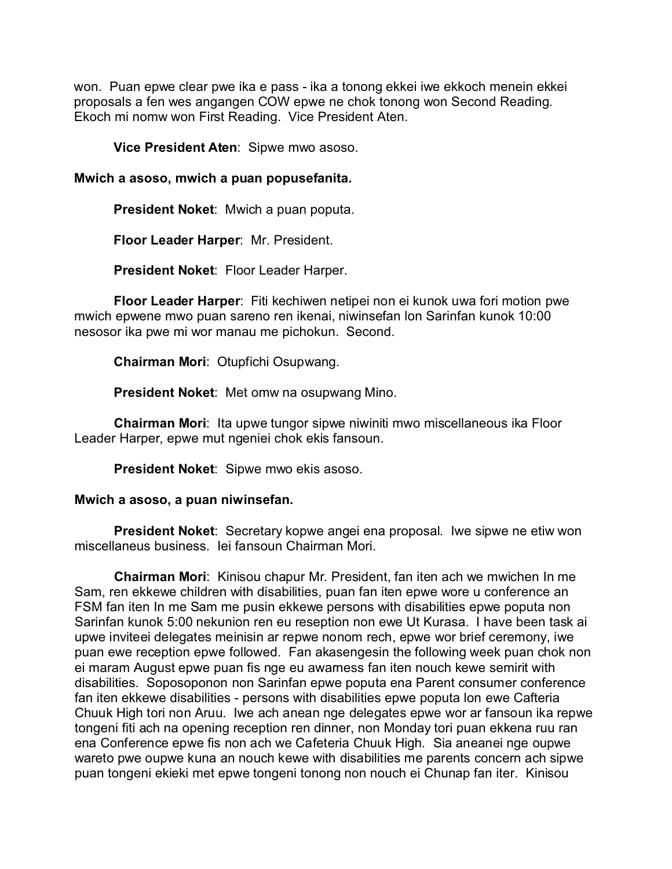won. Puan epwe clear pwe ika e pass - ika a tonong ekkei iwe ekkoch menein ekkei proposals a fen wes angangen COW epwe ne chok tonong won Second Reading. Ekoch mi nomw won First Reading. Vice President Aten.

**Vice President Aten**: Sipwe mwo asoso.

## **Mwich a asoso, mwich a puan popusefanita.**

**President Noket**: Mwich a puan poputa.

**Floor Leader Harper**: Mr. President.

**President Noket**: Floor Leader Harper.

**Floor Leader Harper**: Fiti kechiwen netipei non ei kunok uwa fori motion pwe mwich epwene mwo puan sareno ren ikenai, niwinsefan lon Sarinfan kunok 10:00 nesosor ika pwe mi wor manau me pichokun. Second.

**Chairman Mori**: Otupfichi Osupwang.

**President Noket**: Met omw na osupwang Mino.

**Chairman Mori**: Ita upwe tungor sipwe niwiniti mwo miscellaneous ika Floor Leader Harper, epwe mut ngeniei chok ekis fansoun.

**President Noket**: Sipwe mwo ekis asoso.

### **Mwich a asoso, a puan niwinsefan.**

**President Noket**: Secretary kopwe angei ena proposal. Iwe sipwe ne etiw won miscellaneus business. Iei fansoun Chairman Mori.

**Chairman Mori**: Kinisou chapur Mr. President, fan iten ach we mwichen In me Sam, ren ekkewe children with disabilities, puan fan iten epwe wore u conference an FSM fan iten In me Sam me pusin ekkewe persons with disabilities epwe poputa non Sarinfan kunok 5:00 nekunion ren eu reseption non ewe Ut Kurasa. I have been task ai upwe inviteei delegates meinisin ar repwe nonom rech, epwe wor brief ceremony, iwe puan ewe reception epwe followed. Fan akasengesin the following week puan chok non ei maram August epwe puan fis nge eu awarness fan iten nouch kewe semirit with disabilities. Soposoponon non Sarinfan epwe poputa ena Parent consumer conference fan iten ekkewe disabilities - persons with disabilities epwe poputa lon ewe Cafteria Chuuk High tori non Aruu. Iwe ach anean nge delegates epwe wor ar fansoun ika repwe tongeni fiti ach na opening reception ren dinner, non Monday tori puan ekkena ruu ran ena Conference epwe fis non ach we Cafeteria Chuuk High. Sia aneanei nge oupwe wareto pwe oupwe kuna an nouch kewe with disabilities me parents concern ach sipwe puan tongeni ekieki met epwe tongeni tonong non nouch ei Chunap fan iter. Kinisou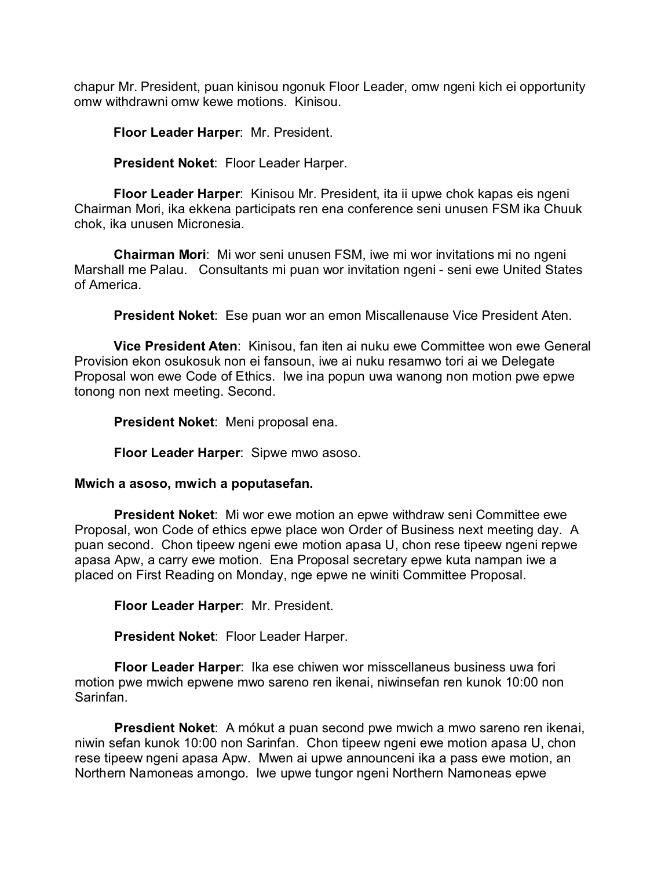chapur Mr. President, puan kinisou ngonuk Floor Leader, omw ngeni kich ei opportunity omw withdrawni omw kewe motions. Kinisou.

**Floor Leader Harper**: Mr. President.

**President Noket**: Floor Leader Harper.

**Floor Leader Harper**: Kinisou Mr. President, ita ii upwe chok kapas eis ngeni Chairman Mori, ika ekkena participats ren ena conference seni unusen FSM ika Chuuk chok, ika unusen Micronesia.

**Chairman Mori**: Mi wor seni unusen FSM, iwe mi wor invitations mi no ngeni Marshall me Palau. Consultants mi puan wor invitation ngeni - seni ewe United States of America.

**President Noket**: Ese puan wor an emon Miscallenause Vice President Aten.

**Vice President Aten**: Kinisou, fan iten ai nuku ewe Committee won ewe General Provision ekon osukosuk non ei fansoun, iwe ai nuku resamwo tori ai we Delegate Proposal won ewe Code of Ethics. Iwe ina popun uwa wanong non motion pwe epwe tonong non next meeting. Second.

**President Noket**: Meni proposal ena.

**Floor Leader Harper**: Sipwe mwo asoso.

### **Mwich a asoso, mwich a poputasefan.**

**President Noket**: Mi wor ewe motion an epwe withdraw seni Committee ewe Proposal, won Code of ethics epwe place won Order of Business next meeting day. A puan second. Chon tipeew ngeni ewe motion apasa U, chon rese tipeew ngeni repwe apasa Apw, a carry ewe motion. Ena Proposal secretary epwe kuta nampan iwe a placed on First Reading on Monday, nge epwe ne winiti Committee Proposal.

**Floor Leader Harper**: Mr. President.

**President Noket**: Floor Leader Harper.

**Floor Leader Harper**: Ika ese chiwen wor misscellaneus business uwa fori motion pwe mwich epwene mwo sareno ren ikenai, niwinsefan ren kunok 10:00 non Sarinfan.

**Presdient Noket**: A mókut a puan second pwe mwich a mwo sareno ren ikenai, niwin sefan kunok 10:00 non Sarinfan. Chon tipeew ngeni ewe motion apasa U, chon rese tipeew ngeni apasa Apw. Mwen ai upwe announceni ika a pass ewe motion, an Northern Namoneas amongo. Iwe upwe tungor ngeni Northern Namoneas epwe